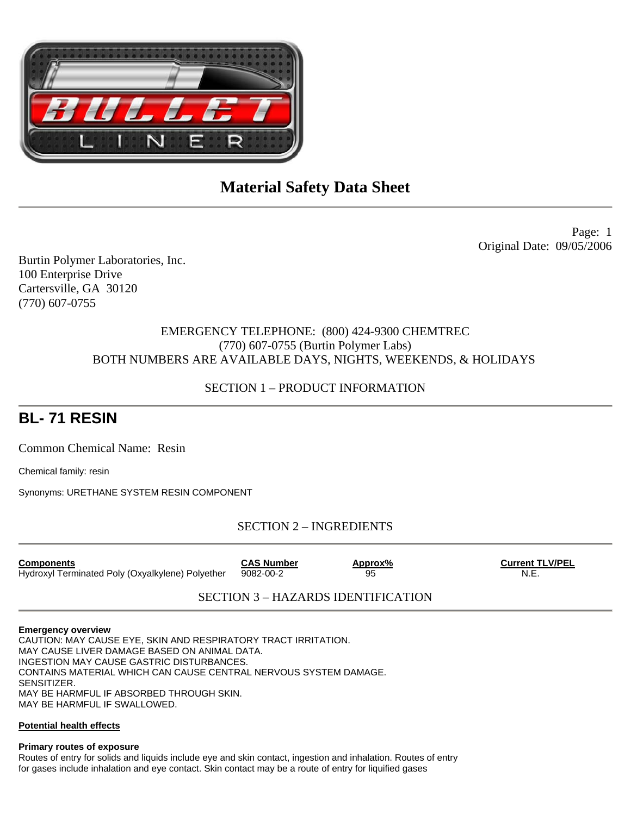

Page: 1 Original Date: 09/05/2006

Burtin Polymer Laboratories, Inc. 100 Enterprise Drive Cartersville, GA 30120 (770) 607-0755

# EMERGENCY TELEPHONE: (800) 424-9300 CHEMTREC (770) 607-0755 (Burtin Polymer Labs) BOTH NUMBERS ARE AVAILABLE DAYS, NIGHTS, WEEKENDS, & HOLIDAYS

# SECTION 1 – PRODUCT INFORMATION

# **BL- 71 RESIN**

Common Chemical Name: Resin

Chemical family: resin

Synonyms: URETHANE SYSTEM RESIN COMPONENT

SECTION 2 – INGREDIENTS

**Components CAS Number CAS Number Approx% Current TLV/PEL** Hydroxyl Terminated Poly (Oxyalkylene) Polyether 9082-00-2 95 95 N.E.

SECTION 3 – HAZARDS IDENTIFICATION

## **Emergency overview**

CAUTION: MAY CAUSE EYE, SKIN AND RESPIRATORY TRACT IRRITATION. MAY CAUSE LIVER DAMAGE BASED ON ANIMAL DATA. INGESTION MAY CAUSE GASTRIC DISTURBANCES. CONTAINS MATERIAL WHICH CAN CAUSE CENTRAL NERVOUS SYSTEM DAMAGE. SENSITIZER. MAY BE HARMFUL IF ABSORBED THROUGH SKIN. MAY BE HARMFUL IF SWALLOWED.

## **Potential health effects**

## **Primary routes of exposure**

Routes of entry for solids and liquids include eye and skin contact, ingestion and inhalation. Routes of entry for gases include inhalation and eye contact. Skin contact may be a route of entry for liquified gases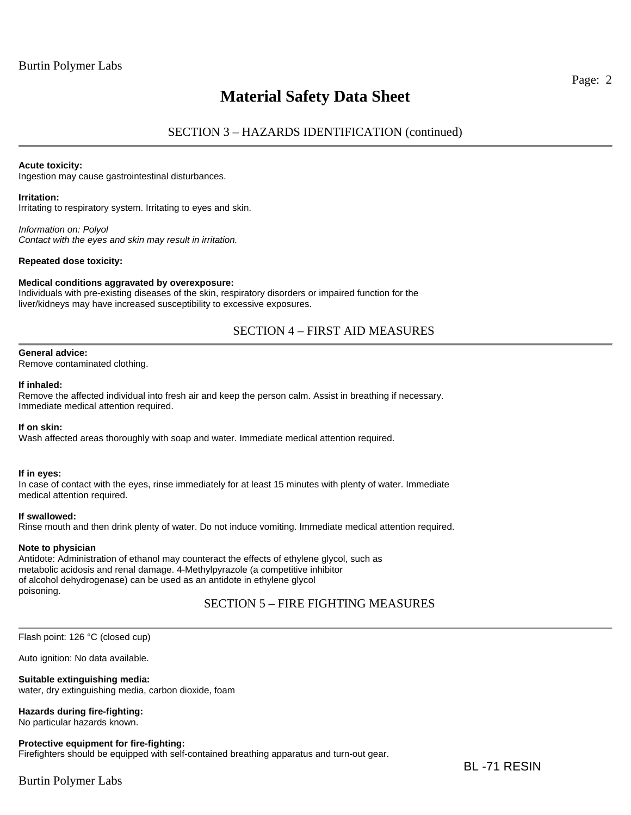# SECTION 3 – HAZARDS IDENTIFICATION (continued)

#### **Acute toxicity:**

Ingestion may cause gastrointestinal disturbances.

#### **Irritation:**

Irritating to respiratory system. Irritating to eyes and skin.

*Information on: Polyol Contact with the eyes and skin may result in irritation.* 

#### **Repeated dose toxicity:**

#### **Medical conditions aggravated by overexposure:**

Individuals with pre-existing diseases of the skin, respiratory disorders or impaired function for the liver/kidneys may have increased susceptibility to excessive exposures.

## SECTION 4 – FIRST AID MEASURES

## **General advice:**

Remove contaminated clothing.

#### **If inhaled:**

Remove the affected individual into fresh air and keep the person calm. Assist in breathing if necessary. Immediate medical attention required.

#### **If on skin:**

Wash affected areas thoroughly with soap and water. Immediate medical attention required.

## **If in eyes:**

In case of contact with the eyes, rinse immediately for at least 15 minutes with plenty of water. Immediate medical attention required.

#### **If swallowed:**

Rinse mouth and then drink plenty of water. Do not induce vomiting. Immediate medical attention required.

#### **Note to physician**

Antidote: Administration of ethanol may counteract the effects of ethylene glycol, such as metabolic acidosis and renal damage. 4-Methylpyrazole (a competitive inhibitor of alcohol dehydrogenase) can be used as an antidote in ethylene glycol poisoning.

## SECTION 5 – FIRE FIGHTING MEASURES

Flash point: 126 °C (closed cup)

Auto ignition: No data available.

## **Suitable extinguishing media:**

water, dry extinguishing media, carbon dioxide, foam

## **Hazards during fire-fighting:**

No particular hazards known.

## **Protective equipment for fire-fighting:**

Firefighters should be equipped with self-contained breathing apparatus and turn-out gear.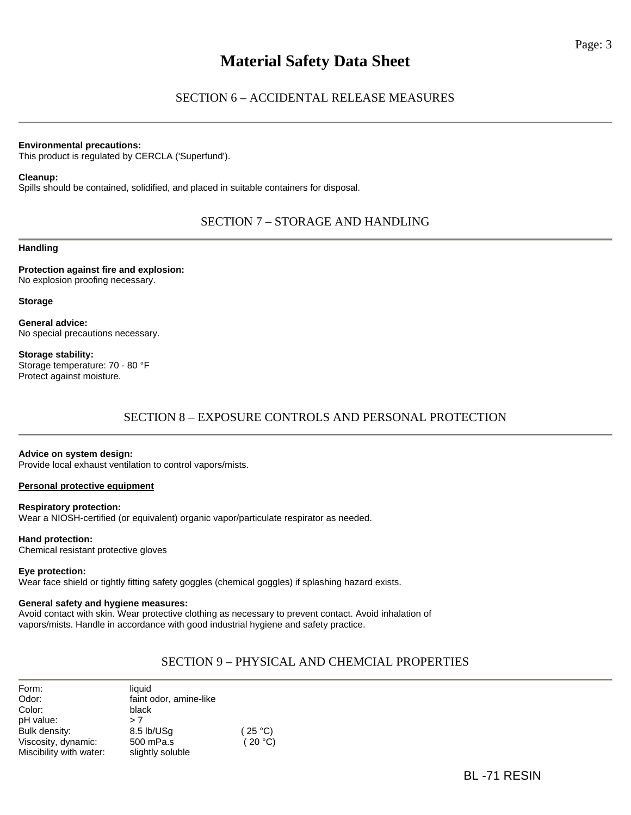## SECTION 6 – ACCIDENTAL RELEASE MEASURES

#### **Environmental precautions:**

This product is regulated by CERCLA ('Superfund').

#### **Cleanup:**

Spills should be contained, solidified, and placed in suitable containers for disposal.

## SECTION 7 – STORAGE AND HANDLING

**Handling** 

**Protection against fire and explosion:**  No explosion proofing necessary.

**Storage** 

**General advice:**  No special precautions necessary.

**Storage stability:**  Storage temperature: 70 - 80 °F Protect against moisture.

# SECTION 8 – EXPOSURE CONTROLS AND PERSONAL PROTECTION

## **Advice on system design:**

Provide local exhaust ventilation to control vapors/mists.

## **Personal protective equipment**

**Respiratory protection:**  Wear a NIOSH-certified (or equivalent) organic vapor/particulate respirator as needed.

#### **Hand protection:**

Chemical resistant protective gloves

## **Eye protection:**

Wear face shield or tightly fitting safety goggles (chemical goggles) if splashing hazard exists.

## **General safety and hygiene measures:**

Avoid contact with skin. Wear protective clothing as necessary to prevent contact. Avoid inhalation of vapors/mists. Handle in accordance with good industrial hygiene and safety practice.

# SECTION 9 – PHYSICAL AND CHEMCIAL PROPERTIES

| Form:                   | liquid                 |         |
|-------------------------|------------------------|---------|
| Odor:                   | faint odor, amine-like |         |
| Color:                  | black                  |         |
| pH value:               | > 7                    |         |
| Bulk density:           | 8.5 lb/USq             | (25 °C) |
| Viscosity, dynamic:     | 500 mPa.s              | (20 °C) |
| Miscibility with water: | slightly soluble       |         |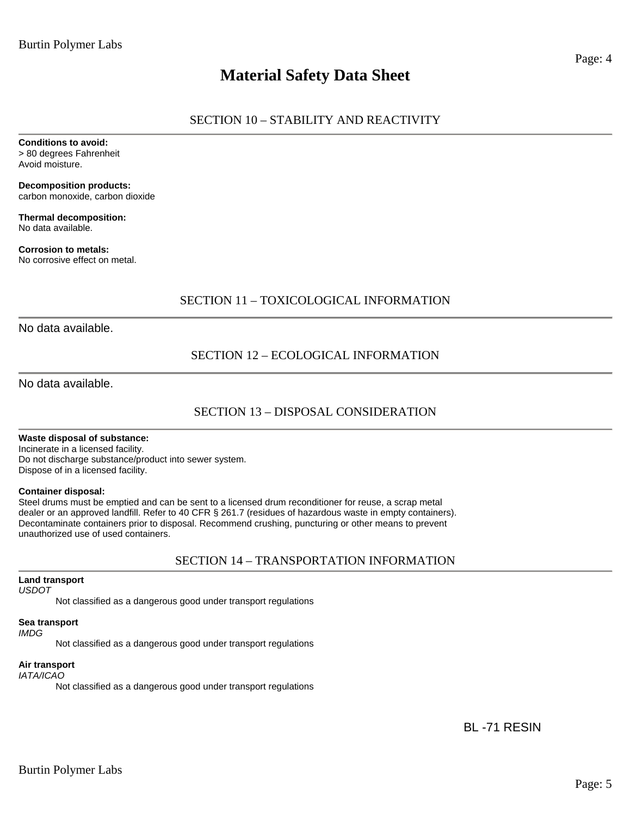# SECTION 10 – STABILITY AND REACTIVITY

**Conditions to avoid:**  > 80 degrees Fahrenheit Avoid moisture.

**Decomposition products:**  carbon monoxide, carbon dioxide

**Thermal decomposition:**  No data available.

**Corrosion to metals:**  No corrosive effect on metal.

# SECTION 11 – TOXICOLOGICAL INFORMATION

No data available.

# SECTION 12 – ECOLOGICAL INFORMATION

No data available.

# SECTION 13 – DISPOSAL CONSIDERATION

## **Waste disposal of substance:**

Incinerate in a licensed facility. Do not discharge substance/product into sewer system. Dispose of in a licensed facility.

## **Container disposal:**

Steel drums must be emptied and can be sent to a licensed drum reconditioner for reuse, a scrap metal dealer or an approved landfill. Refer to 40 CFR § 261.7 (residues of hazardous waste in empty containers). Decontaminate containers prior to disposal. Recommend crushing, puncturing or other means to prevent unauthorized use of used containers.

## SECTION 14 – TRANSPORTATION INFORMATION

## **Land transport**

*USDOT* 

Not classified as a dangerous good under transport regulations

## **Sea transport**

*IMDG* 

Not classified as a dangerous good under transport regulations

## **Air transport**

*IATA/ICAO* 

Not classified as a dangerous good under transport regulations

BL -71 RESIN